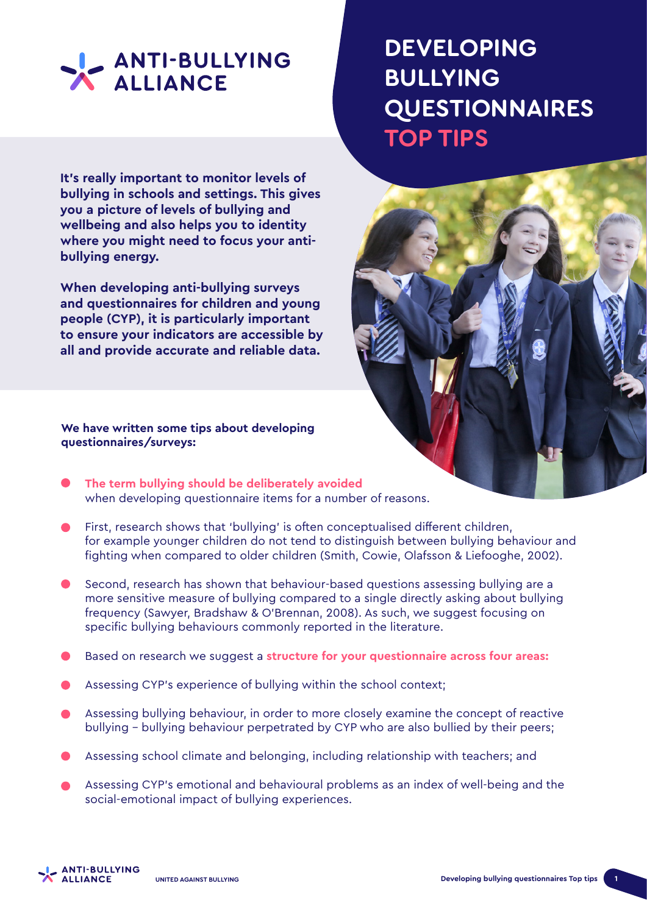

**It's really important to monitor levels of bullying in schools and settings. This gives you a picture of levels of bullying and wellbeing and also helps you to identity where you might need to focus your antibullying energy.**

**When developing anti-bullying surveys and questionnaires for children and young people (CYP), it is particularly important to ensure your indicators are accessible by all and provide accurate and reliable data.**

## **We have written some tips about developing questionnaires/surveys:**

- **The term bullying should be deliberately avoided** when developing questionnaire items for a number of reasons.
- First, research shows that 'bullying' is often conceptualised different children, for example younger children do not tend to distinguish between bullying behaviour and fighting when compared to older children (Smith, Cowie, Olafsson & Liefooghe, 2002).
- Second, research has shown that behaviour-based questions assessing bullying are a more sensitive measure of bullying compared to a single directly asking about bullying frequency (Sawyer, Bradshaw & O'Brennan, 2008). As such, we suggest focusing on specific bullying behaviours commonly reported in the literature.
- Based on research we suggest a **structure for your questionnaire across four areas:**
- Assessing CYP's experience of bullying within the school context;
- Assessing bullying behaviour, in order to more closely examine the concept of reactive bullying - bullying behaviour perpetrated by CYP who are also bullied by their peers;
- Assessing school climate and belonging, including relationship with teachers; and
- Assessing CYP's emotional and behavioural problems as an index of well-being and the social-emotional impact of bullying experiences.

## **DEVELOPING BULLYING QUESTIONNAIRES TOP TIPS**